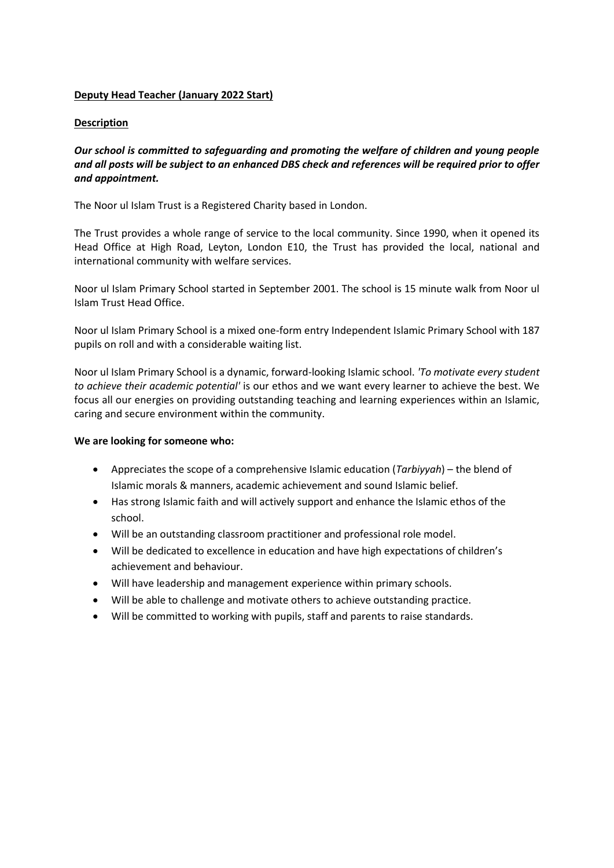## **Deputy Head Teacher (January 2022 Start)**

## **Description**

*Our school is committed to safeguarding and promoting the welfare of children and young people and all posts will be subject to an enhanced DBS check and references will be required prior to offer and appointment.*

The Noor ul Islam Trust is a Registered Charity based in London.

The Trust provides a whole range of service to the local community. Since 1990, when it opened its Head Office at High Road, Leyton, London E10, the Trust has provided the local, national and international community with welfare services.

Noor ul Islam Primary School started in September 2001. The school is 15 minute walk from Noor ul Islam Trust Head Office.

Noor ul Islam Primary School is a mixed one-form entry Independent Islamic Primary School with 187 pupils on roll and with a considerable waiting list.

Noor ul Islam Primary School is a dynamic, forward-looking Islamic school. *'To motivate every student to achieve their academic potential'* is our ethos and we want every learner to achieve the best. We focus all our energies on providing outstanding teaching and learning experiences within an Islamic, caring and secure environment within the community.

## **We are looking for someone who:**

- Appreciates the scope of a comprehensive Islamic education (*Tarbiyyah*) the blend of Islamic morals & manners, academic achievement and sound Islamic belief.
- Has strong Islamic faith and will actively support and enhance the Islamic ethos of the school.
- Will be an outstanding classroom practitioner and professional role model.
- Will be dedicated to excellence in education and have high expectations of children's achievement and behaviour.
- Will have leadership and management experience within primary schools.
- Will be able to challenge and motivate others to achieve outstanding practice.
- Will be committed to working with pupils, staff and parents to raise standards.